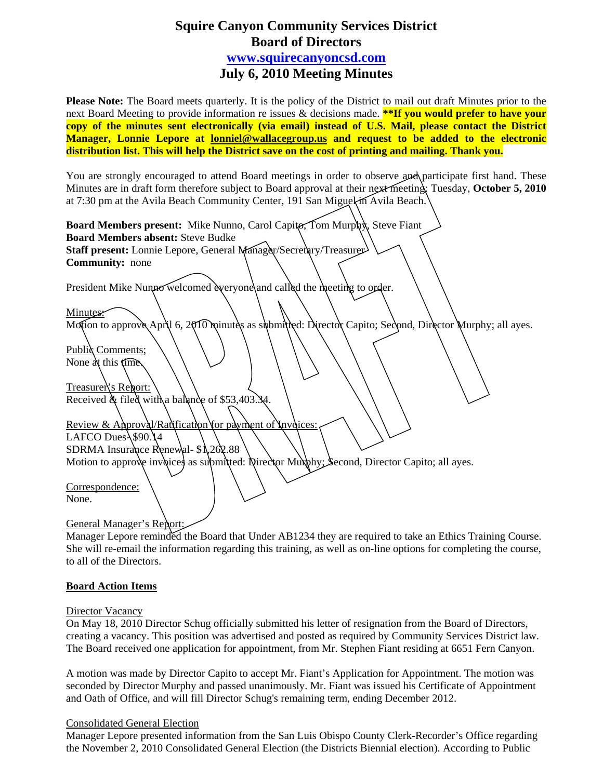# **Squire Canyon Community Services District Board of Directors [www.squirecanyoncsd.com](http://www.squirecanyoncsd.com/)  July 6, 2010 Meeting Minutes**

**Please Note:** The Board meets quarterly. It is the policy of the District to mail out draft Minutes prior to the next Board Meeting to provide information re issues & decisions made. **\*\*If you would prefer to have your copy of the minutes sent electronically (via email) instead of U.S. Mail, please contact the District Manager, Lonnie Lepore at [lonniel@wallacegroup.us](mailto:lonniel@wallacegroup.us) and request to be added to the electronic distribution list. This will help the District save on the cost of printing and mailing. Thank you.** 

You are strongly encouraged to attend Board meetings in order to observe and participate first hand. These Minutes are in draft form therefore subject to Board approval at their next meeting: Tuesday, **October 5, 2010** at 7:30 pm at the Avila Beach Community Center, 191 San Miguel in Avila Beach.

| Board Members present: Mike Nunno, Carol Capito, Tom Murphy, Steve Fiant                                  |
|-----------------------------------------------------------------------------------------------------------|
| <b>Board Members absent: Steve Budke</b>                                                                  |
| Staff present: Lonnie Lepore, General Manager/Secretary/Treasurer                                         |
| <b>Community:</b> none                                                                                    |
|                                                                                                           |
| President Mike Nunno welcomed everyone and called the meeting to order.                                   |
|                                                                                                           |
| Minutes:                                                                                                  |
| Motion to approve April 6, 2010 minutes as submitted: Director Capito; Second, Director Murphy; all ayes. |
|                                                                                                           |
| <b>Public</b> Comments;                                                                                   |
| None at this fime.                                                                                        |
|                                                                                                           |
| <b>Treasurer's Report:</b>                                                                                |
| Received & filed with a balance of \$53,403.34.                                                           |
|                                                                                                           |
| Review & Approval/Ranification for payment of Invoices:                                                   |
| LAFCO Dues $\frac{150}{14}$                                                                               |
| SDRMA Insurance Renewal- \$1,262.88                                                                       |
| Motion to approve invoices as submitted: Director Muxphy; Second, Director Capito; all ayes.              |
|                                                                                                           |
| Correspondence:                                                                                           |
| None.                                                                                                     |
|                                                                                                           |
| <b>General Manager's Report:</b>                                                                          |

Manager Lepore reminded the Board that Under AB1234 they are required to take an Ethics Training Course. She will re-email the information regarding this training, as well as on-line options for completing the course, to all of the Directors.

### **Board Action Items**

### Director Vacancy

On May 18, 2010 Director Schug officially submitted his letter of resignation from the Board of Directors, creating a vacancy. This position was advertised and posted as required by Community Services District law. The Board received one application for appointment, from Mr. Stephen Fiant residing at 6651 Fern Canyon.

A motion was made by Director Capito to accept Mr. Fiant's Application for Appointment. The motion was seconded by Director Murphy and passed unanimously. Mr. Fiant was issued his Certificate of Appointment and Oath of Office, and will fill Director Schug's remaining term, ending December 2012.

### Consolidated General Election

Manager Lepore presented information from the San Luis Obispo County Clerk-Recorder's Office regarding the November 2, 2010 Consolidated General Election (the Districts Biennial election). According to Public